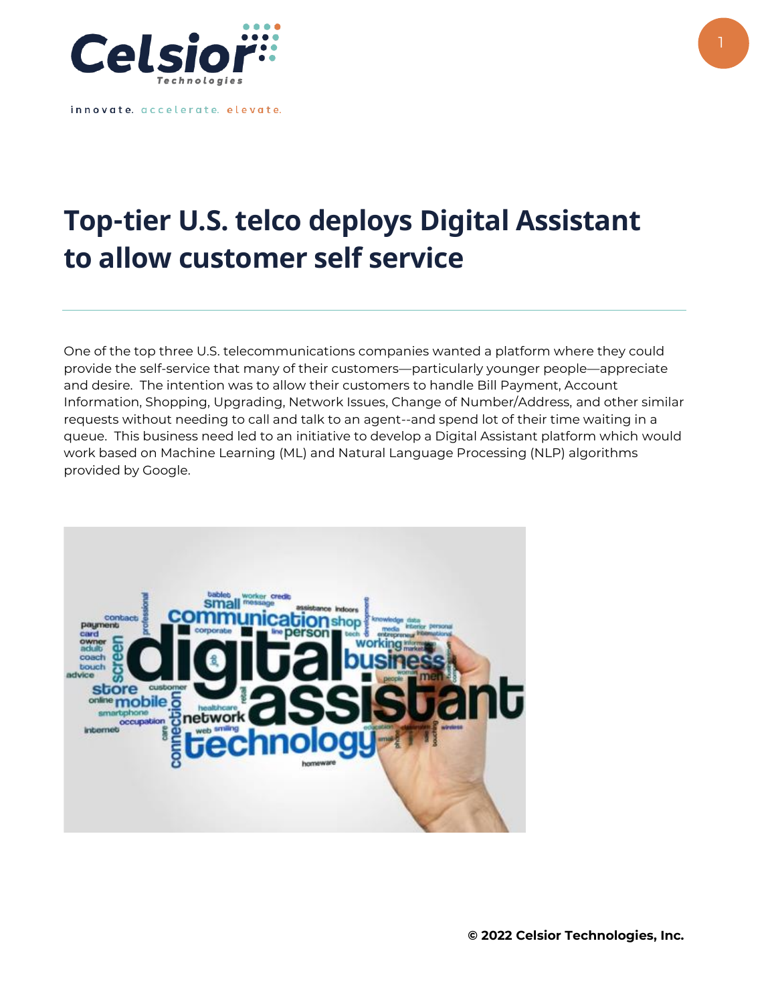

innovate. accelerate. elevate.

## **Top-tier U.S. telco deploys Digital Assistant to allow customer self service**

One of the top three U.S. telecommunications companies wanted a platform where they could provide the self-service that many of their customers—particularly younger people—appreciate and desire. The intention was to allow their customers to handle Bill Payment, Account Information, Shopping, Upgrading, Network Issues, Change of Number/Address, and other similar requests without needing to call and talk to an agent--and spend lot of their time waiting in a queue. This business need led to an initiative to develop a Digital Assistant platform which would work based on Machine Learning (ML) and Natural Language Processing (NLP) algorithms provided by Google.



**© 2022 Celsior Technologies, Inc.**